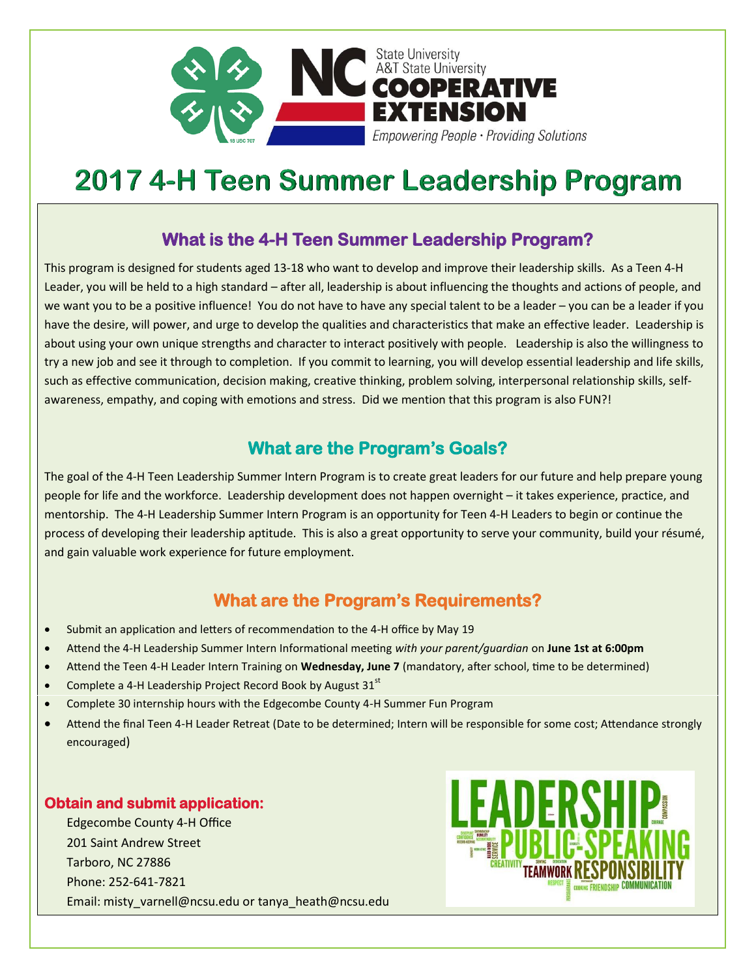

# **2017 4-H Teen Summer Leadership Program**

#### **What is the 4-H Teen Summer Leadership Program?**

This program is designed for students aged 13-18 who want to develop and improve their leadership skills. As a Teen 4-H Leader, you will be held to a high standard – after all, leadership is about influencing the thoughts and actions of people, and we want you to be a positive influence! You do not have to have any special talent to be a leader – you can be a leader if you have the desire, will power, and urge to develop the qualities and characteristics that make an effective leader. Leadership is about using your own unique strengths and character to interact positively with people. Leadership is also the willingness to try a new job and see it through to completion. If you commit to learning, you will develop essential leadership and life skills, such as effective communication, decision making, creative thinking, problem solving, interpersonal relationship skills, selfawareness, empathy, and coping with emotions and stress. Did we mention that this program is also FUN?!

## **What are the Program's Goals?**

The goal of the 4-H Teen Leadership Summer Intern Program is to create great leaders for our future and help prepare young people for life and the workforce. Leadership development does not happen overnight – it takes experience, practice, and mentorship. The 4-H Leadership Summer Intern Program is an opportunity for Teen 4-H Leaders to begin or continue the process of developing their leadership aptitude. This is also a great opportunity to serve your community, build your résumé, and gain valuable work experience for future employment.

## **What are the Program's Requirements?**

- Submit an application and letters of recommendation to the 4-H office by May 19
- Attend the 4-H Leadership Summer Intern Informational meeting *with your parent/guardian* on **June 1st at 6:00pm**
- Attend the Teen 4-H Leader Intern Training on **Wednesday, June 7** (mandatory, after school, time to be determined)
- Complete a 4-H Leadership Project Record Book by August  $31<sup>st</sup>$
- Complete 30 internship hours with the Edgecombe County 4-H Summer Fun Program
- Attend the final Teen 4-H Leader Retreat (Date to be determined; Intern will be responsible for some cost; Attendance strongly encouraged)

#### **Obtain and submit application:**

Edgecombe County 4-H Office 201 Saint Andrew Street Tarboro, NC 27886 Phone: 252-641-7821 Email: misty\_varnell@ncsu.edu or tanya\_heath@ncsu.edu

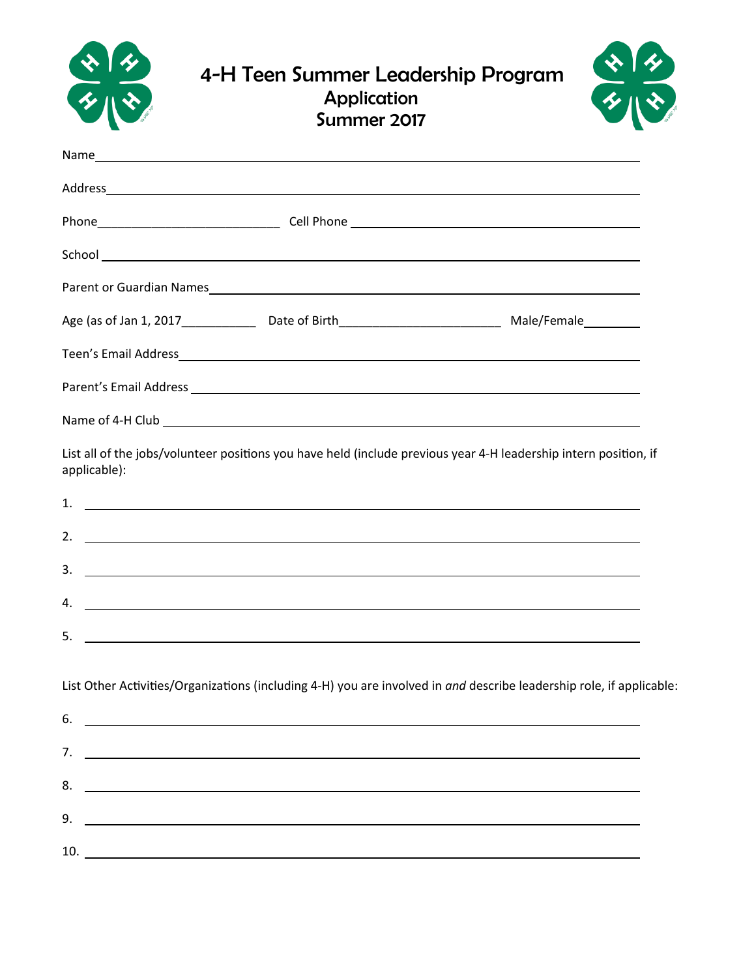|                          | 4-H Teen Summer Leadership Program<br>Application<br>Summer 2017                                                                                                                                                                                                                                                                                                  |  |
|--------------------------|-------------------------------------------------------------------------------------------------------------------------------------------------------------------------------------------------------------------------------------------------------------------------------------------------------------------------------------------------------------------|--|
|                          |                                                                                                                                                                                                                                                                                                                                                                   |  |
|                          |                                                                                                                                                                                                                                                                                                                                                                   |  |
|                          |                                                                                                                                                                                                                                                                                                                                                                   |  |
|                          |                                                                                                                                                                                                                                                                                                                                                                   |  |
|                          |                                                                                                                                                                                                                                                                                                                                                                   |  |
|                          |                                                                                                                                                                                                                                                                                                                                                                   |  |
|                          |                                                                                                                                                                                                                                                                                                                                                                   |  |
|                          |                                                                                                                                                                                                                                                                                                                                                                   |  |
|                          | Name of 4-H Club <b>Name of 4-H</b> Club                                                                                                                                                                                                                                                                                                                          |  |
| applicable):<br>1.<br>2. | List all of the jobs/volunteer positions you have held (include previous year 4-H leadership intern position, if<br><u> Alexandria de la contrada de la contrada de la contrada de la contrada de la contrada de la contrada de la c</u><br><u> 1990 - John Harry Harry Harry Harry Harry Harry Harry Harry Harry Harry Harry Harry Harry Harry Harry Harry H</u> |  |
| 3.                       | <u> The Communication of the Communication of the Communication of the Communication of the Communication of the Co</u>                                                                                                                                                                                                                                           |  |
| 4.                       | and the control of the control of the control of the control of the control of the control of the control of the                                                                                                                                                                                                                                                  |  |
| 5.                       | <u> 1989 - Johann Stoff, amerikansk politiker (d. 1989)</u>                                                                                                                                                                                                                                                                                                       |  |
|                          |                                                                                                                                                                                                                                                                                                                                                                   |  |
|                          | List Other Activities/Organizations (including 4-H) you are involved in and describe leadership role, if applicable:                                                                                                                                                                                                                                              |  |
| 6.                       | <u> 1989 - Johann Barnett, fransk politiker (d. 1989)</u>                                                                                                                                                                                                                                                                                                         |  |
|                          | $7.$ $\overline{\phantom{a}}$                                                                                                                                                                                                                                                                                                                                     |  |
| 8.                       | <u> 1989 - Andrea Stadt Britain, amerikansk politik (d. 1989)</u>                                                                                                                                                                                                                                                                                                 |  |
| 9.                       | <u> 1980 - Johann Harry Harry Harry Harry Harry Harry Harry Harry Harry Harry Harry Harry Harry Harry Harry Harry</u>                                                                                                                                                                                                                                             |  |
|                          |                                                                                                                                                                                                                                                                                                                                                                   |  |